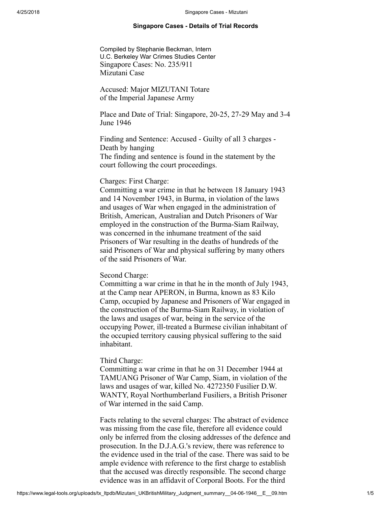## Singapore Cases - Details of Trial Records

<span id="page-0-0"></span>Compiled by Stephanie Beckman, Intern U.C. Berkeley War Crimes Studies Center Singapore Cases: No. 235/911 Mizutani Case

Accused: Major MIZUTANI Totare of the Imperial Japanese Army

Place and Date of Trial: Singapore, 20-25, 27-29 May and 3-4 June 1946

Finding and Sentence: Accused - Guilty of all 3 charges - Death by hanging The finding and sentence is found in the statement by the court following the court proceedings.

# Charges: First Charge:

Committing a war crime in that he between 18 January 1943 and 14 November 1943, in Burma, in violation of the laws and usages of War when engaged in the administration of British, American, Australian and Dutch Prisoners of War employed in the construction of the Burma-Siam Railway, was concerned in the inhumane treatment of the said Prisoners of War resulting in the deaths of hundreds of the said Prisoners of War and physical suffering by many others of the said Prisoners of War.

# Second Charge:

Committing a war crime in that he in the month of July 1943, at the Camp near APERON, in Burma, known as 83 Kilo Camp, occupied by Japanese and Prisoners of War engaged in the construction of the Burma-Siam Railway, in violation of the laws and usages of war, being in the service of the occupying Power, ill-treated a Burmese civilian inhabitant of the occupied territory causing physical suffering to the said inhabitant.

## Third Charge:

Committing a war crime in that he on 31 December 1944 at TAMUANG Prisoner of War Camp, Siam, in violation of the laws and usages of war, killed No. 4272350 Fusilier D.W. WANTY, Royal Northumberland Fusiliers, a British Prisoner of War interned in the said Camp.

Facts relating to the several charges: The abstract of evidence was missing from the case file, therefore all evidence could only be inferred from the closing addresses of the defence and prosecution. In the D.J.A.G.'s review, there was reference to the evidence used in the trial of the case. There was said to be ample evidence with reference to the first charge to establish that the accused was directly responsible. The second charge evidence was in an affidavit of Corporal Boots. For the third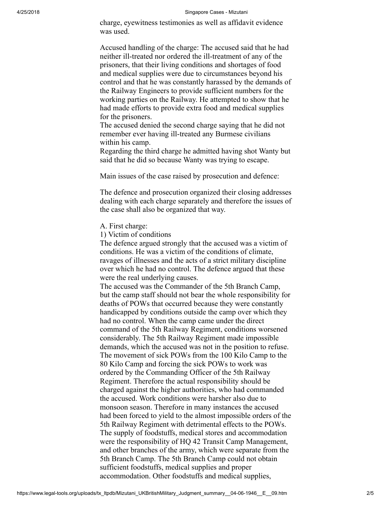charge, eyewitness testimonies as well as affidavit evidence was used.

Accused handling of the charge: The accused said that he had neither ill-treated nor ordered the ill-treatment of any of the prisoners, that their living conditions and shortages of food and medical supplies were due to circumstances beyond his control and that he was constantly harassed by the demands of the Railway Engineers to provide sufficient numbers for the working parties on the Railway. He attempted to show that he had made efforts to provide extra food and medical supplies for the prisoners.

The accused denied the second charge saying that he did not remember ever having ill-treated any Burmese civilians within his camp.

Regarding the third charge he admitted having shot Wanty but said that he did so because Wanty was trying to escape.

Main issues of the case raised by prosecution and defence:

The defence and prosecution organized their closing addresses dealing with each charge separately and therefore the issues of the case shall also be organized that way.

A. First charge:

1) Victim of conditions

The defence argued strongly that the accused was a victim of conditions. He was a victim of the conditions of climate, ravages of illnesses and the acts of a strict military discipline over which he had no control. The defence argued that these were the real underlying causes.

The accused was the Commander of the 5th Branch Camp, but the camp staff should not bear the whole responsibility for deaths of POWs that occurred because they were constantly handicapped by conditions outside the camp over which they had no control. When the camp came under the direct command of the 5th Railway Regiment, conditions worsened considerably. The 5th Railway Regiment made impossible demands, which the accused was not in the position to refuse. The movement of sick POWs from the 100 Kilo Camp to the 80 Kilo Camp and forcing the sick POWs to work was ordered by the Commanding Officer of the 5th Railway Regiment. Therefore the actual responsibility should be charged against the higher authorities, who had commanded the accused. Work conditions were harsher also due to monsoon season. Therefore in many instances the accused had been forced to yield to the almost impossible orders of the 5th Railway Regiment with detrimental effects to the POWs. The supply of foodstuffs, medical stores and accommodation were the responsibility of HQ 42 Transit Camp Management, and other branches of the army, which were separate from the 5th Branch Camp. The 5th Branch Camp could not obtain sufficient foodstuffs, medical supplies and proper accommodation. Other foodstuffs and medical supplies,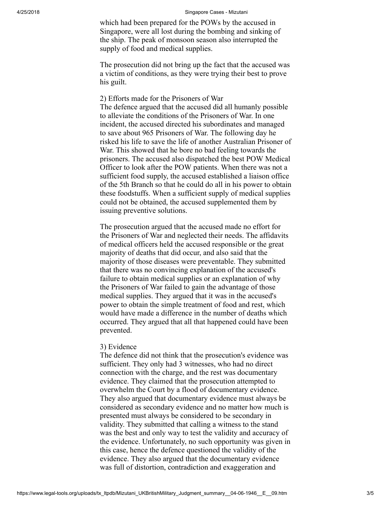which had been prepared for the POWs by the accused in Singapore, were all lost during the bombing and sinking of the ship. The peak of monsoon season also interrupted the supply of food and medical supplies.

The prosecution did not bring up the fact that the accused was a victim of conditions, as they were trying their best to prove his guilt.

2) Efforts made for the Prisoners of War The defence argued that the accused did all humanly possible to alleviate the conditions of the Prisoners of War. In one incident, the accused directed his subordinates and managed to save about 965 Prisoners of War. The following day he risked his life to save the life of another Australian Prisoner of War. This showed that he bore no bad feeling towards the prisoners. The accused also dispatched the best POW Medical Officer to look after the POW patients. When there was not a sufficient food supply, the accused established a liaison office of the 5th Branch so that he could do all in his power to obtain these foodstuffs. When a sufficient supply of medical supplies could not be obtained, the accused supplemented them by issuing preventive solutions.

The prosecution argued that the accused made no effort for the Prisoners of War and neglected their needs. The affidavits of medical officers held the accused responsible or the great majority of deaths that did occur, and also said that the majority of those diseases were preventable. They submitted that there was no convincing explanation of the accused's failure to obtain medical supplies or an explanation of why the Prisoners of War failed to gain the advantage of those medical supplies. They argued that it was in the accused's power to obtain the simple treatment of food and rest, which would have made a difference in the number of deaths which occurred. They argued that all that happened could have been prevented.

# 3) Evidence

The defence did not think that the prosecution's evidence was sufficient. They only had 3 witnesses, who had no direct connection with the charge, and the rest was documentary evidence. They claimed that the prosecution attempted to overwhelm the Court by a flood of documentary evidence. They also argued that documentary evidence must always be considered as secondary evidence and no matter how much is presented must always be considered to be secondary in validity. They submitted that calling a witness to the stand was the best and only way to test the validity and accuracy of the evidence. Unfortunately, no such opportunity was given in this case, hence the defence questioned the validity of the evidence. They also argued that the documentary evidence was full of distortion, contradiction and exaggeration and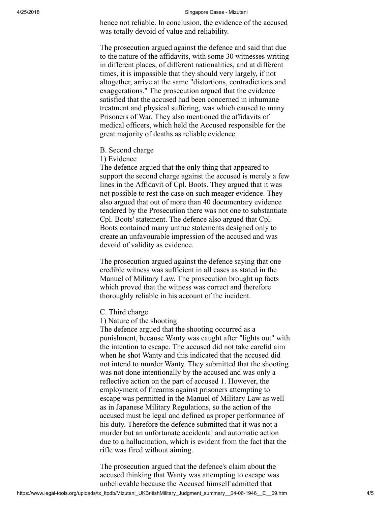hence not reliable. In conclusion, the evidence of the accused was totally devoid of value and reliability.

The prosecution argued against the defence and said that due to the nature of the affidavits, with some 30 witnesses writing in different places, of different nationalities, and at different times, it is impossible that they should very largely, if not altogether, arrive at the same "distortions, contradictions and exaggerations." The prosecution argued that the evidence satisfied that the accused had been concerned in inhumane treatment and physical suffering, was which caused to many Prisoners of War. They also mentioned the affidavits of medical officers, which held the Accused responsible for the great majority of deaths as reliable evidence.

B. Second charge

1) Evidence

The defence argued that the only thing that appeared to support the second charge against the accused is merely a few lines in the Affidavit of Cpl. Boots. They argued that it was not possible to rest the case on such meager evidence. They also argued that out of more than 40 documentary evidence tendered by the Prosecution there was not one to substantiate Cpl. Boots' statement. The defence also argued that Cpl. Boots contained many untrue statements designed only to create an unfavourable impression of the accused and was devoid of validity as evidence.

The prosecution argued against the defence saying that one credible witness was sufficient in all cases as stated in the Manuel of Military Law. The prosecution brought up facts which proved that the witness was correct and therefore thoroughly reliable in his account of the incident.

- C. Third charge
- 1) Nature of the shooting

The defence argued that the shooting occurred as a punishment, because Wanty was caught after "lights out" with the intention to escape. The accused did not take careful aim when he shot Wanty and this indicated that the accused did not intend to murder Wanty. They submitted that the shooting was not done intentionally by the accused and was only a reflective action on the part of accused 1. However, the employment of firearms against prisoners attempting to escape was permitted in the Manuel of Military Law as well as in Japanese Military Regulations, so the action of the accused must be legal and defined as proper performance of his duty. Therefore the defence submitted that it was not a murder but an unfortunate accidental and automatic action due to a hallucination, which is evident from the fact that the rifle was fired without aiming.

The prosecution argued that the defence's claim about the accused thinking that Wanty was attempting to escape was unbelievable because the Accused himself admitted that